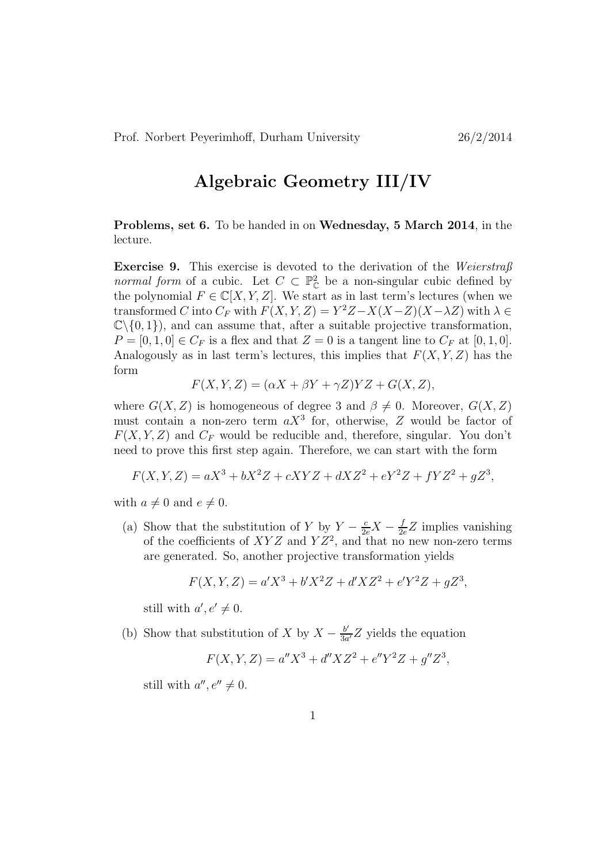## Algebraic Geometry III/IV

Problems, set 6. To be handed in on Wednesday, 5 March 2014, in the lecture.

**Exercise 9.** This exercise is devoted to the derivation of the Weierstraß *normal form* of a cubic. Let  $C \subset \mathbb{P}_{\mathbb{C}}^2$  be a non-singular cubic defined by the polynomial  $F \in \mathbb{C}[X, Y, Z]$ . We start as in last term's lectures (when we transformed C into  $C_F$  with  $F(X, Y, Z) = Y^2 Z - X(X-Z)(X-\lambda Z)$  with  $\lambda \in$  $\mathbb{C}\setminus\{0, 1\}$ , and can assume that, after a suitable projective transformation,  $P = [0, 1, 0] \in C_F$  is a flex and that  $Z = 0$  is a tangent line to  $C_F$  at  $[0, 1, 0]$ . Analogously as in last term's lectures, this implies that  $F(X, Y, Z)$  has the form

$$
F(X, Y, Z) = (\alpha X + \beta Y + \gamma Z)YZ + G(X, Z),
$$

where  $G(X, Z)$  is homogeneous of degree 3 and  $\beta \neq 0$ . Moreover,  $G(X, Z)$ must contain a non-zero term  $aX^3$  for, otherwise, Z would be factor of  $F(X, Y, Z)$  and  $C_F$  would be reducible and, therefore, singular. You don't need to prove this first step again. Therefore, we can start with the form

$$
F(X, Y, Z) = aX^3 + bX^2Z + cXYZ + dXZ^2 + eY^2Z + fYZ^2 + gZ^3,
$$

with  $a \neq 0$  and  $e \neq 0$ .

(a) Show that the substitution of Y by  $Y - \frac{c}{2e}X - \frac{f}{2e}Z$  implies vanishing of the coefficients of  $XYZ$  and  $YZ^2$ , and that no new non-zero terms are generated. So, another projective transformation yields

$$
F(X, Y, Z) = a'X^3 + b'X^2Z + d'XZ^2 + e'Y^2Z + gZ^3,
$$

still with  $a', e' \neq 0$ .

(b) Show that substitution of X by  $X - \frac{b'}{3a}$  $\frac{b'}{3a'}Z$  yields the equation

$$
F(X, Y, Z) = a''X^3 + d''XZ^2 + e''Y^2Z + g''Z^3,
$$

still with  $a'', e'' \neq 0$ .